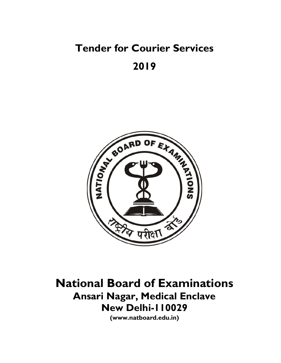# Tender for Courier Services 2019



National Board of Examinations Ansari Nagar, Medical Enclave New Delhi-110029

(www.natboard.edu.in)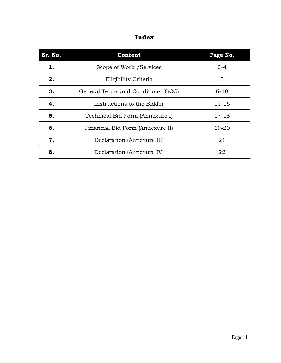| Sr. No. | Content                            | Page No.  |  |  |
|---------|------------------------------------|-----------|--|--|
| 1.      | Scope of Work / Services           | $3 - 4$   |  |  |
| 2.      | Eligibility Criteria               | 5         |  |  |
| 3.      | General Terms and Conditions (GCC) | $6 - 10$  |  |  |
| 4.      | Instructions to the Bidder         | $11 - 16$ |  |  |
| 5.      | Technical Bid Form (Annexure I)    | $17 - 18$ |  |  |
| 6.      | Financial Bid Form (Annexure II)   | $19 - 20$ |  |  |
| 7.      | Declaration (Annexure III)         | 21        |  |  |
| 8.      | Declaration (Annexure IV)          | 22        |  |  |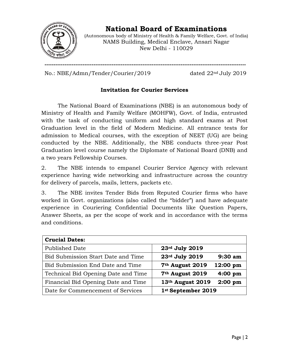

National Board of Examinations

(Autonomous body of Ministry of Health & Family Welfare, Govt. of India) NAMS Building, Medical Enclave, Ansari Nagar<br>New Delhi - 110029

No.: NBE/Admn/Tender/Courier/2019 BE/Admn/Tender/Courier/2019 dated 22

dated 22<sup>nd</sup> July 2019

# Invitation for Courier Services

---------------------------------------------------------------------------------------------------------------

The National Board of Examinations (NBE) is an autonomous body of Ministry of Health and Family Welfare (MOHFW), Govt. of India, entrusted with the task of conducting uniform and high standard exams at Post Graduation level in the field of Modern Medicine. All entrance tests for admission to Medical courses, with the exception of NEET (UG) are being conducted by the NBE. Additionally, the NBE conducts three Graduation level course namely the Diplomate of National Board (DNB) and a two years Fellowship Courses. rd exams at Post<br>entrance tests for<br>ET (UG) are being<br>ts three-year Post

2. The NBE intends to empanel NBE intends Courier Service Agency with relevant experience having wide networking and infrastructure across the country for delivery of parcels, mails, letters, packets etc. experience having wide networking and infrastructure across the country<br>for delivery of parcels, mails, letters, packets etc.<br>3. The NBE invites Tender Bids from Reputed Courier firms who have 2. The NBE intends to empanel Courier Service Agency with relevant experience having wide networking and infrastructure across the country for delivery of parcels, mails, letters, packets etc.<br>3. The NBE invites Tender Bid

experience in Couriering Confidential Documents like Question Papers,<br>Answer Sheets, as per the scope of work and in accordance with the terms Answer Sheets, as per the scope of work and in accordance with the terms and conditions.

| <b>Crucial Dates:</b>               |                                                 |
|-------------------------------------|-------------------------------------------------|
| Published Date                      | 23rd July 2019                                  |
| Bid Submission Start Date and Time  | 23rd July 2019<br>$9:30$ am                     |
| Bid Submission End Date and Time    | 7 <sup>th</sup> August 2019<br>12:00 pm         |
| Technical Bid Opening Date and Time | 7 <sup>th</sup> August 2019<br>$4:00~\text{pm}$ |
| Financial Bid Opening Date and Time | 13th August 2019<br>$2:00~\text{pm}$            |
| Date for Commencement of Services   | 1st September 2019                              |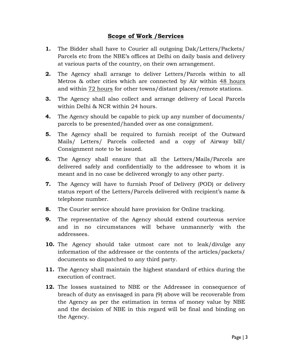# Scope of Work /Services

- 1. The Bidder shall have to Courier all outgoing Dak/Letters/Packets/ Parcels etc from the NBE's offices at Delhi on daily basis and delivery at various parts of the country, on their own arrangement.
- 2. The Agency shall arrange to deliver Letters/Parcels within to all Metros & other cities which are connected by Air within 48 hours and within 72 hours for other towns/distant places/remote stations.
- 3. The Agency shall also collect and arrange delivery of Local Parcels within Delhi & NCR within 24 hours.
- 4. The Agency should be capable to pick up any number of documents/ parcels to be presented/handed over as one consignment.
- 5. The Agency shall be required to furnish receipt of the Outward Mails/ Letters/ Parcels collected and a copy of Airway bill/ Consignment note to be issued.
- 6. The Agency shall ensure that all the Letters/Mails/Parcels are delivered safely and confidentially to the addressee to whom it is meant and in no case be delivered wrongly to any other party.
- 7. The Agency will have to furnish Proof of Delivery (POD) or delivery status report of the Letters/Parcels delivered with recipient's name & telephone number.
- 8. The Courier service should have provision for Online tracking.
- 9. The representative of the Agency should extend courteous service and in no circumstances will behave unmannerly with the addressees.
- 10. The Agency should take utmost care not to leak/divulge any information of the addressee or the contents of the articles/packets/ documents so dispatched to any third party.
- 11. The Agency shall maintain the highest standard of ethics during the execution of contract.
- 12. The losses sustained to NBE or the Addressee in consequence of breach of duty as envisaged in para (9) above will be recoverable from the Agency as per the estimation in terms of money value by NBE and the decision of NBE in this regard will be final and binding on the Agency.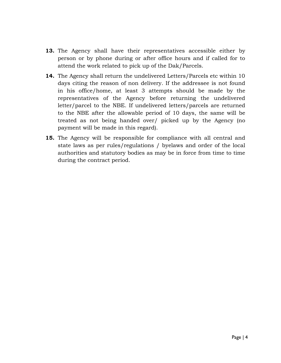- 13. The Agency shall have their representatives accessible either by person or by phone during or after office hours and if called for to attend the work related to pick up of the Dak/Parcels.
- 14. The Agency shall return the undelivered Letters/Parcels etc within 10 days citing the reason of non delivery. If the addressee is not found in his office/home, at least 3 attempts should be made by the representatives of the Agency before returning the undelivered letter/parcel to the NBE. If undelivered letters/parcels are returned to the NBE after the allowable period of 10 days, the same will be treated as not being handed over/ picked up by the Agency (no payment will be made in this regard).
- **15.** The Agency will be responsible for compliance with all central and state laws as per rules/regulations / byelaws and order of the local authorities and statutory bodies as may be in force from time to time during the contract period.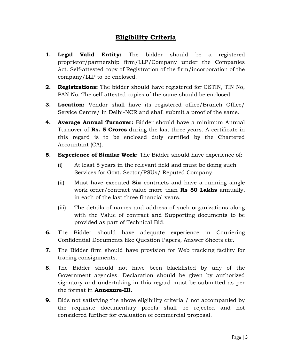# Eligibility Criteria

- **1. Legal Valid Entity:** The bidder should be a registered proprietor/partnership firm/LLP/Company under the Companies Act. Self-attested copy of Registration of the firm/incorporation of the company/LLP to be enclosed.
- 2. Registrations: The bidder should have registered for GSTIN, TIN No, PAN No. The self-attested copies of the same should be enclosed.
- **3. Location:** Vendor shall have its registered office/Branch Office/ Service Centre/ in Delhi-NCR and shall submit a proof of the same.
- **4. Average Annual Turnover:** Bidder should have a minimum Annual Turnover of **Rs. 5 Crores** during the last three years. A certificate in this regard is to be enclosed duly certified by the Chartered Accountant (CA).
- **5. Experience of Similar Work:** The Bidder should have experience of:
	- (i) At least 5 years in the relevant field and must be doing such Services for Govt. Sector/PSUs/ Reputed Company.
	- (ii) Must have executed  $\text{Six}$  contracts and have a running single work order/contract value more than **Rs 50 Lakhs** annually, in each of the last three financial years.
	- (iii) The details of names and address of such organizations along with the Value of contract and Supporting documents to be provided as part of Technical Bid.
- 6. The Bidder should have adequate experience in Couriering Confidential Documents like Question Papers, Answer Sheets etc.
- 7. The Bidder firm should have provision for Web tracking facility for tracing consignments.
- 8. The Bidder should not have been blacklisted by any of the Government agencies. Declaration should be given by authorized signatory and undertaking in this regard must be submitted as per the format in Annexure-III.
- 9. Bids not satisfying the above eligibility criteria / not accompanied by the requisite documentary proofs shall be rejected and not considered further for evaluation of commercial proposal.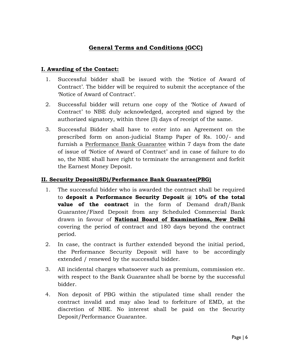# General Terms and Conditions (GCC)

#### I. Awarding of the Contact:

- 1. Successful bidder shall be issued with the 'Notice of Award of Contract'. The bidder will be required to submit the acceptance of the 'Notice of Award of Contract'.
- 2. Successful bidder will return one copy of the 'Notice of Award of Contract' to NBE duly acknowledged, accepted and signed by the authorized signatory, within three (3) days of receipt of the same.
- 3. Successful Bidder shall have to enter into an Agreement on the prescribed form on anon-judicial Stamp Paper of Rs. 100/- and furnish a Performance Bank Guarantee within 7 days from the date of issue of 'Notice of Award of Contract' and in case of failure to do so, the NBE shall have right to terminate the arrangement and forfeit the Earnest Money Deposit.

#### II. Security Deposit(SD)/Performance Bank Guarantee(PBG)

- 1. The successful bidder who is awarded the contract shall be required to deposit a Performance Security Deposit  $\omega$  10% of the total value of the contract in the form of Demand draft/Bank Guarantee/Fixed Deposit from any Scheduled Commercial Bank drawn in favour of National Board of Examinations, New Delhi covering the period of contract and 180 days beyond the contract period.
- 2. In case, the contract is further extended beyond the initial period, the Performance Security Deposit will have to be accordingly extended / renewed by the successful bidder.
- 3. All incidental charges whatsoever such as premium, commission etc. with respect to the Bank Guarantee shall be borne by the successful bidder.
- 4. Non deposit of PBG within the stipulated time shall render the contract invalid and may also lead to forfeiture of EMD, at the discretion of NBE. No interest shall be paid on the Security Deposit/Performance Guarantee.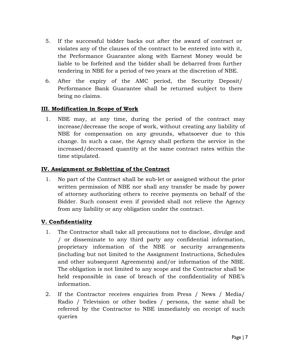- 5. If the successful bidder backs out after the award of contract or violates any of the clauses of the contract to be entered into with it, the Performance Guarantee along with Earnest Money would be liable to be forfeited and the bidder shall be debarred from further tendering in NBE for a period of two years at the discretion of NBE.
- 6. After the expiry of the AMC period, the Security Deposit/ Performance Bank Guarantee shall be returned subject to there being no claims.

#### III. Modification in Scope of Work

1. NBE may, at any time, during the period of the contract may increase/decrease the scope of work, without creating any liability of NBE for compensation on any grounds, whatsoever due to this change. In such a case, the Agency shall perform the service in the increased/decreased quantity at the same contract rates within the time stipulated.

#### IV. Assignment or Subletting of the Contract

1. No part of the Contract shall be sub-let or assigned without the prior written permission of NBE nor shall any transfer be made by power of attorney authorizing others to receive payments on behalf of the Bidder. Such consent even if provided shall not relieve the Agency from any liability or any obligation under the contract.

## V. Confidentiality

- 1. The Contractor shall take all precautions not to disclose, divulge and / or disseminate to any third party any confidential information, proprietary information of the NBE or security arrangements (including but not limited to the Assignment Instructions, Schedules and other subsequent Agreements) and/or information of the NBE. The obligation is not limited to any scope and the Contractor shall be held responsible in case of breach of the confidentiality of NBE's information.
- 2. If the Contractor receives enquiries from Press / News / Media/ Radio / Television or other bodies / persons, the same shall be referred by the Contractor to NBE immediately on receipt of such queries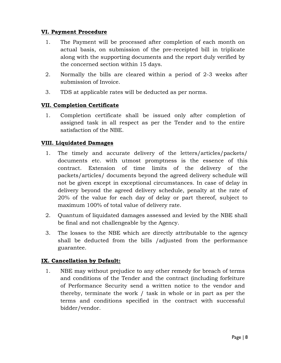## VI. Payment Procedure

- 1. The Payment will be processed after completion of each month on actual basis, on submission of the pre-receipted bill in triplicate along with the supporting documents and the report duly verified by the concerned section within 15 days.
- 2. Normally the bills are cleared within a period of 2-3 weeks after submission of Invoice.
- 3. TDS at applicable rates will be deducted as per norms.

## VII. Completion Certificate

1. Completion certificate shall be issued only after completion of assigned task in all respect as per the Tender and to the entire satisfaction of the NBE.

## VIII. Liquidated Damages

- 1. The timely and accurate delivery of the letters/articles/packets/ documents etc. with utmost promptness is the essence of this contract. Extension of time limits of the delivery of the packets/articles/ documents beyond the agreed delivery schedule will not be given except in exceptional circumstances. In case of delay in delivery beyond the agreed delivery schedule, penalty at the rate of 20% of the value for each day of delay or part thereof, subject to maximum 100% of total value of delivery rate.
- 2. Quantum of liquidated damages assessed and levied by the NBE shall be final and not challengeable by the Agency.
- 3. The losses to the NBE which are directly attributable to the agency shall be deducted from the bills /adjusted from the performance guarantee.

## IX. Cancellation by Default:

1. NBE may without prejudice to any other remedy for breach of terms and conditions of the Tender and the contract (including forfeiture of Performance Security send a written notice to the vendor and thereby, terminate the work / task in whole or in part as per the terms and conditions specified in the contract with successful bidder/vendor.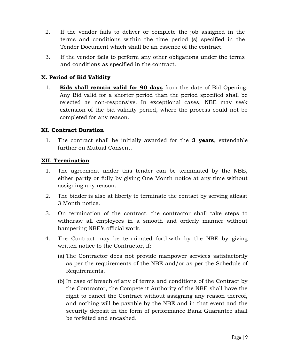- 2. If the vendor fails to deliver or complete the job assigned in the terms and conditions within the time period (s) specified in the Tender Document which shall be an essence of the contract.
- 3. If the vendor fails to perform any other obligations under the terms and conditions as specified in the contract.

# X. Period of Bid Validity

1. Bids shall remain valid for 90 days from the date of Bid Opening. Any Bid valid for a shorter period than the period specified shall be rejected as non-responsive. In exceptional cases, NBE may seek extension of the bid validity period, where the process could not be completed for any reason.

#### XI. Contract Duration

1. The contract shall be initially awarded for the **3 years**, extendable further on Mutual Consent.

#### XII. Termination

- 1. The agreement under this tender can be terminated by the NBE, either partly or fully by giving One Month notice at any time without assigning any reason.
- 2. The bidder is also at liberty to terminate the contact by serving atleast 3 Month notice.
- 3. On termination of the contract, the contractor shall take steps to withdraw all employees in a smooth and orderly manner without hampering NBE's official work.
- 4. The Contract may be terminated forthwith by the NBE by giving written notice to the Contractor, if:
	- (a) The Contractor does not provide manpower services satisfactorily as per the requirements of the NBE and/or as per the Schedule of Requirements.
	- (b) In case of breach of any of terms and conditions of the Contract by the Contractor, the Competent Authority of the NBE shall have the right to cancel the Contract without assigning any reason thereof, and nothing will be payable by the NBE and in that event and the security deposit in the form of performance Bank Guarantee shall be forfeited and encashed.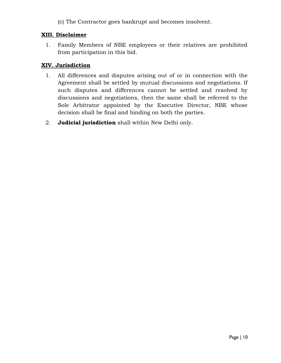(c) The Contractor goes bankrupt and becomes insolvent.

#### XIII. Disclaimer

1. Family Members of NBE employees or their relatives are prohibited from participation in this bid.

#### XIV. Jurisdiction

- 1. All differences and disputes arising out of or in connection with the Agreement shall be settled by mutual discussions and negotiations. If such disputes and differences cannot be settled and resolved by discussions and negotiations, then the same shall be referred to the Sole Arbitrator appointed by the Executive Director, NBE whose decision shall be final and binding on both the parties.
- 2. Judicial jurisdiction shall within New Delhi only.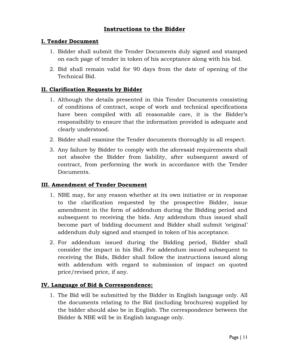# Instructions to the Bidder

#### I. Tender Document

- 1. Bidder shall submit the Tender Documents duly signed and stamped on each page of tender in token of his acceptance along with his bid.
- 2. Bid shall remain valid for 90 days from the date of opening of the Technical Bid.

#### II. Clarification Requests by Bidder

- 1. Although the details presented in this Tender Documents consisting of conditions of contract, scope of work and technical specifications have been compiled with all reasonable care, it is the Bidder's responsibility to ensure that the information provided is adequate and clearly understood.
- 2. Bidder shall examine the Tender documents thoroughly in all respect.
- 3. Any failure by Bidder to comply with the aforesaid requirements shall not absolve the Bidder from liability, after subsequent award of contract, from performing the work in accordance with the Tender Documents.

#### III. Amendment of Tender Document

- 1. NBE may, for any reason whether at its own initiative or in response to the clarification requested by the prospective Bidder, issue amendment in the form of addendum during the Bidding period and subsequent to receiving the bids. Any addendum thus issued shall become part of bidding document and Bidder shall submit 'original' addendum duly signed and stamped in token of his acceptance.
- 2. For addendum issued during the Bidding period, Bidder shall consider the impact in his Bid. For addendum issued subsequent to receiving the Bids, Bidder shall follow the instructions issued along with addendum with regard to submission of impact on quoted price/revised price, if any.

#### IV. Language of Bid & Correspondence:

1. The Bid will be submitted by the Bidder in English language only. All the documents relating to the Bid (including brochures) supplied by the bidder should also be in English. The correspondence between the Bidder & NBE will be in English language only.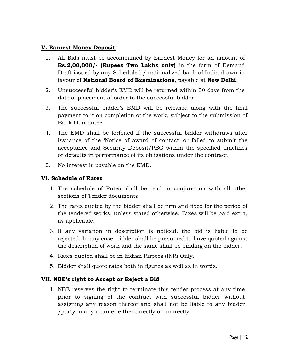#### V. Earnest Money Deposit

- 1. All Bids must be accompanied by Earnest Money for an amount of Rs.2,00,000/- (Rupees Two Lakhs only) in the form of Demand Draft issued by any Scheduled / nationalized bank of India drawn in favour of National Board of Examinations, payable at New Delhi.
- 2. Unsuccessful bidder's EMD will be returned within 30 days from the date of placement of order to the successful bidder.
- 3. The successful bidder's EMD will be released along with the final payment to it on completion of the work, subject to the submission of Bank Guarantee.
- 4. The EMD shall be forfeited if the successful bidder withdraws after issuance of the 'Notice of award of contact' or failed to submit the acceptance and Security Deposit/PBG within the specified timelines or defaults in performance of its obligations under the contract.
- 5. No interest is payable on the EMD.

#### VI. Schedule of Rates

- 1. The schedule of Rates shall be read in conjunction with all other sections of Tender documents.
- 2. The rates quoted by the bidder shall be firm and fixed for the period of the tendered works, unless stated otherwise. Taxes will be paid extra, as applicable.
- 3. If any variation in description is noticed, the bid is liable to be rejected. In any case, bidder shall be presumed to have quoted against the description of work and the same shall be binding on the bidder.
- 4. Rates quoted shall be in Indian Rupees (INR) Only.
- 5. Bidder shall quote rates both in figures as well as in words.

## VII. NBE's right to Accept or Reject a Bid

1. NBE reserves the right to terminate this tender process at any time prior to signing of the contract with successful bidder without assigning any reason thereof and shall not be liable to any bidder /party in any manner either directly or indirectly.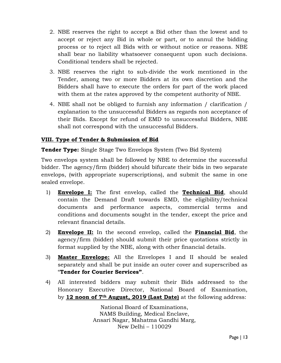- 2. NBE reserves the right to accept a Bid other than the lowest and to accept or reject any Bid in whole or part, or to annul the bidding process or to reject all Bids with or without notice or reasons. NBE shall bear no liability whatsoever consequent upon such decisions. Conditional tenders shall be rejected.
- 3. NBE reserves the right to sub-divide the work mentioned in the Tender, among two or more Bidders at its own discretion and the Bidders shall have to execute the orders for part of the work placed with them at the rates approved by the competent authority of NBE.
- 4. NBE shall not be obliged to furnish any information / clarification / explanation to the unsuccessful Bidders as regards non acceptance of their Bids. Except for refund of EMD to unsuccessful Bidders, NBE shall not correspond with the unsuccessful Bidders.

## VIII. Type of Tender & Submission of Bid

**Tender Type:** Single Stage Two Envelops System (Two Bid System)

Two envelops system shall be followed by NBE to determine the successful bidder. The agency/firm (bidder) should bifurcate their bids in two separate envelops, (with appropriate superscriptions), and submit the same in one sealed envelope.

- 1) **Envelope I:** The first envelop, called the **Technical Bid**, should contain the Demand Draft towards EMD, the eligibility/technical documents and performance aspects, commercial terms and conditions and documents sought in the tender, except the price and relevant financial details.
- 2) Envelope II: In the second envelop, called the Financial Bid, the agency/firm (bidder) should submit their price quotations strictly in format supplied by the NBE, along with other financial details.
- 3) Master Envelope: All the Envelopes I and II should be sealed separately and shall be put inside an outer cover and superscribed as "Tender for Courier Services".
- 4) All interested bidders may submit their Bids addressed to the Honorary Executive Director, National Board of Examination, by 12 noon of 7<sup>th</sup> August, 2019 (Last Date) at the following address:

National Board of Examinations, NAMS Building, Medical Enclave, Ansari Nagar, Mahatma Gandhi Marg, New Delhi – 110029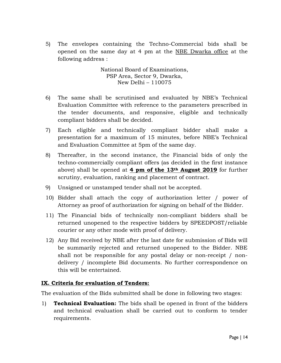5) The envelopes containing the Techno-Commercial bids shall be opened on the same day at 4 pm at the NBE Dwarka office at the following address :

> National Board of Examinations, PSP Area, Sector 9, Dwarka, New Delhi – 110075

- 6) The same shall be scrutinised and evaluated by NBE's Technical Evaluation Committee with reference to the parameters prescribed in the tender documents, and responsive, eligible and technically compliant bidders shall be decided.
- 7) Each eligible and technically compliant bidder shall make a presentation for a maximum of 15 minutes, before NBE's Technical and Evaluation Committee at 5pm of the same day.
- 8) Thereafter, in the second instance, the Financial bids of only the techno-commercially compliant offers (as decided in the first instance above) shall be opened at 4 pm of the  $13<sup>th</sup>$  August 2019 for further scrutiny, evaluation, ranking and placement of contract.
- 9) Unsigned or unstamped tender shall not be accepted.
- 10) Bidder shall attach the copy of authorization letter / power of Attorney as proof of authorization for signing on behalf of the Bidder.
- 11) The Financial bids of technically non-compliant bidders shall be returned unopened to the respective bidders by SPEEDPOST/reliable courier or any other mode with proof of delivery.
- 12) Any Bid received by NBE after the last date for submission of Bids will be summarily rejected and returned unopened to the Bidder. NBE shall not be responsible for any postal delay or non-receipt / nondelivery / incomplete Bid documents. No further correspondence on this will be entertained.

#### IX. Criteria for evaluation of Tenders:

The evaluation of the Bids submitted shall be done in following two stages:

1) **Technical Evaluation:** The bids shall be opened in front of the bidders and technical evaluation shall be carried out to conform to tender requirements.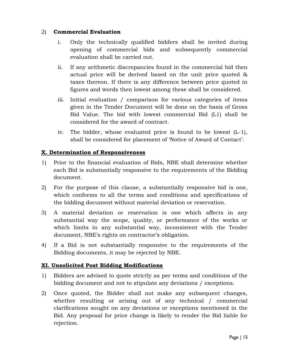#### 2) Commercial Evaluation

- i. Only the technically qualified bidders shall be invited during opening of commercial bids and subsequently commercial evaluation shall be carried out.
- ii. If any arithmetic discrepancies found in the commercial bid then actual price will be derived based on the unit price quoted & taxes thereon. If there is any difference between price quoted in figures and words then lowest among these shall be considered.
- iii. Initial evaluation / comparison for various categories of items given in the Tender Document will be done on the basis of Gross Bid Value. The bid with lowest commercial Bid (L1) shall be considered for the award of contract.
- iv. The bidder, whose evaluated price is found to be lowest (L-1), shall be considered for placement of 'Notice of Award of Contact'.

#### X. Determination of Responsiveness

- 1) Prior to the financial evaluation of Bids, NBE shall determine whether each Bid is substantially responsive to the requirements of the Bidding document.
- 2) For the purpose of this clause, a substantially responsive bid is one, which conforms to all the terms and conditions and specifications of the bidding document without material deviation or reservation.
- 3) A material deviation or reservation is one which affects in any substantial way the scope, quality, or performance of the works or which limits in any substantial way, inconsistent with the Tender document, NBE's rights on contractor's obligation.
- 4) If a Bid is not substantially responsive to the requirements of the Bidding documents, it may be rejected by NBE.

#### XI. Unsolicited Post Bidding Modifications

- 1) Bidders are advised to quote strictly as per terms and conditions of the bidding document and not to stipulate any deviations / exceptions.
- 2) Once quoted, the Bidder shall not make any subsequent changes, whether resulting or arising out of any technical / commercial clarifications sought on any deviations or exceptions mentioned in the Bid. Any proposal for price change is likely to render the Bid liable for rejection.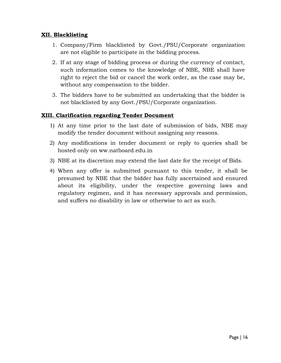#### XII. Blacklisting

- 1. Company/Firm blacklisted by Govt./PSU/Corporate organization are not eligible to participate in the bidding process.
- 2. If at any stage of bidding process or during the currency of contact, such information comes to the knowledge of NBE, NBE shall have right to reject the bid or cancel the work order, as the case may be, without any compensation to the bidder.
- 3. The bidders have to be submitted an undertaking that the bidder is not blacklisted by any Govt./PSU/Corporate organization.

#### XIII. Clarification regarding Tender Document

- 1) At any time prior to the last date of submission of bids, NBE may modify the tender document without assigning any reasons.
- 2) Any modifications in tender document or reply to queries shall be hosted only on ww.natboard.edu.in
- 3) NBE at its discretion may extend the last date for the receipt of Bids.
- 4) When any offer is submitted pursuant to this tender, it shall be presumed by NBE that the bidder has fully ascertained and ensured about its eligibility, under the respective governing laws and regulatory regimen, and it has necessary approvals and permission, and suffers no disability in law or otherwise to act as such.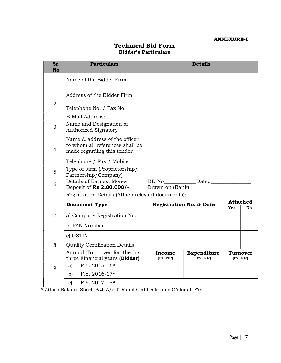#### ANNEXURE-I

| Sr.<br><b>No</b> | <b>Particulars</b>                                                                             | <b>Details</b>                     |                              |                              |                             |
|------------------|------------------------------------------------------------------------------------------------|------------------------------------|------------------------------|------------------------------|-----------------------------|
| $\mathbf{1}$     | Name of the Bidder Firm                                                                        |                                    |                              |                              |                             |
| $\overline{2}$   | Address of the Bidder Firm                                                                     |                                    |                              |                              |                             |
|                  | Telephone No. / Fax No.                                                                        |                                    |                              |                              |                             |
|                  | E-Mail Address:                                                                                |                                    |                              |                              |                             |
| 3                | Name and Designation of<br><b>Authorized Signatory</b>                                         |                                    |                              |                              |                             |
| $\overline{4}$   | Name & address of the officer<br>to whom all references shall be<br>made regarding this tender |                                    |                              |                              |                             |
|                  | Telephone / Fax / Mobile                                                                       |                                    |                              |                              |                             |
| 5                | Type of Firm (Proprietorship/<br>Partnership/Company)                                          |                                    |                              |                              |                             |
| 6                | Details of Earnest Money<br>Deposit of Rs 2,00,000/-                                           | DD No<br>Drawn on (Bank)           | Dated                        |                              |                             |
|                  | Registration Details (Attach relevant documents):                                              |                                    |                              |                              |                             |
|                  | <b>Document Type</b>                                                                           | <b>Registration No. &amp; Date</b> |                              | <b>Attached</b><br>Yes<br>No |                             |
| $\overline{7}$   | a) Company Registration No.                                                                    |                                    |                              |                              |                             |
|                  | b) PAN Number                                                                                  |                                    |                              |                              |                             |
|                  | c) GSTIN                                                                                       |                                    |                              |                              |                             |
| 8                | <b>Quality Certification Details</b>                                                           |                                    |                              |                              |                             |
|                  | Annual Turn-over for the last<br>three Financial years (Bidder)                                | Income<br>(In INR)                 | Expenditure<br>$(In$ INR $)$ |                              | <b>Turnover</b><br>(In INR) |
| 9                | F.Y. 2015-16*<br>a)                                                                            |                                    |                              |                              |                             |
|                  | $F.Y. 2016-17*$<br>$\mathbf{b}$                                                                |                                    |                              |                              |                             |
|                  | $F.Y. 2017-18*$<br>$\mathbf{c}$                                                                |                                    |                              |                              |                             |

#### Technical Bid Form Bidder's Particulars

\* Attach Balance Sheet, P&L A/c, ITR and Certificate from CA for all FYs.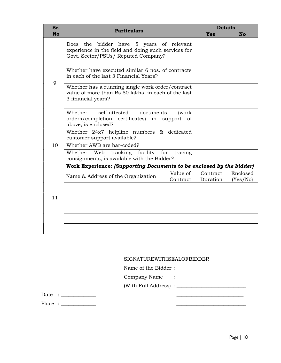| Sr.       | <b>Particulars</b>                                                                                                                     |                      | <b>Details</b>       |                      |  |
|-----------|----------------------------------------------------------------------------------------------------------------------------------------|----------------------|----------------------|----------------------|--|
| <b>No</b> |                                                                                                                                        |                      |                      | <b>No</b>            |  |
| 9         | Does the bidder have 5 years of relevant<br>experience in the field and doing such services for<br>Govt. Sector/PSUs/ Reputed Company? |                      |                      |                      |  |
|           | Whether have executed similar 6 nos. of contracts<br>in each of the last 3 Financial Years?                                            |                      |                      |                      |  |
|           | Whether has a running single work order/contract<br>value of more than Rs 50 lakhs, in each of the last<br>3 financial years?          |                      |                      |                      |  |
|           | Whether<br>self-attested<br>documents<br>orders/completion certificates) in support of<br>above, is enclosed?                          | (work                |                      |                      |  |
|           | Whether 24x7 helpline numbers & dedicated<br>customer support available?                                                               |                      |                      |                      |  |
| 10        | Whether AWB are bar-coded?                                                                                                             |                      |                      |                      |  |
|           | Whether Web tracking facility for tracing<br>consignments, is available with the Bidder?                                               |                      |                      |                      |  |
|           | Work Experience: (Supporting Documents to be enclosed by the bidder)                                                                   |                      |                      |                      |  |
| 11        | Name & Address of the Organization                                                                                                     | Value of<br>Contract | Contract<br>Duration | Enclosed<br>(Yes/No) |  |
|           |                                                                                                                                        |                      |                      |                      |  |
|           |                                                                                                                                        |                      |                      |                      |  |
|           |                                                                                                                                        |                      |                      |                      |  |
|           |                                                                                                                                        |                      |                      |                      |  |
|           |                                                                                                                                        |                      |                      |                      |  |

#### SIGNATUREWITHSEALOFBIDDER

Name of the Bidder : \_\_\_\_\_\_\_\_\_\_\_\_\_\_\_\_\_\_\_\_\_\_\_\_\_\_\_\_

- Company Name : \_\_\_\_\_\_\_\_\_\_\_\_\_\_\_\_\_\_\_\_\_\_\_\_\_\_\_
- (With Full Address) : \_\_\_\_\_\_\_\_\_\_\_\_\_\_\_\_\_\_\_\_\_\_\_\_\_\_\_\_

Date : \_\_\_\_\_\_\_\_\_\_\_\_\_\_ \_\_\_\_\_\_\_\_\_\_\_\_\_\_\_\_\_\_\_\_\_\_\_\_\_\_\_

Place : \_\_\_\_\_\_\_\_\_\_\_\_\_\_ \_\_\_\_\_\_\_\_\_\_\_\_\_\_\_\_\_\_\_\_\_\_\_\_\_\_\_\_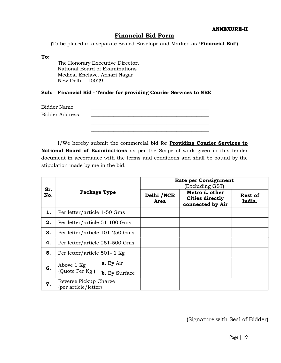#### Financial Bid Form

(To be placed in a separate Sealed Envelope and Marked as 'Financial Bid')

To:

The Honorary Executive Director, National Board of Examinations Medical Enclave, Ansari Nagar New Delhi 110029

#### Sub: Financial Bid - Tender for providing Courier Services to NBE

| Bidder Name           |  |
|-----------------------|--|
| <b>Bidder Address</b> |  |
|                       |  |
|                       |  |
|                       |  |

I/We hereby submit the commercial bid for **Providing Courier Services to** National Board of Examinations as per the Scope of work given in this tender document in accordance with the terms and conditions and shall be bound by the stipulation made by me in the bid.

|            | Package Type                                  |                      | <b>Rate per Consignment</b><br>(Excluding GST) |                                                             |                          |  |
|------------|-----------------------------------------------|----------------------|------------------------------------------------|-------------------------------------------------------------|--------------------------|--|
| Sr.<br>No. |                                               |                      | Delhi / NCR<br>Area                            | Metro & other<br><b>Cities directly</b><br>connected by Air | <b>Rest of</b><br>India. |  |
| 1.         | Per letter/article 1-50 Gms                   |                      |                                                |                                                             |                          |  |
| 2.         | Per letter/article 51-100 Gms                 |                      |                                                |                                                             |                          |  |
| 3.         | Per letter/article 101-250 Gms                |                      |                                                |                                                             |                          |  |
| 4.         | Per letter/article 251-500 Gms                |                      |                                                |                                                             |                          |  |
| 5.         | Per letter/article 501-1 Kg                   |                      |                                                |                                                             |                          |  |
| 6.         | Above 1 Kg<br>(Quote Per Kg)                  | a. By Air            |                                                |                                                             |                          |  |
|            |                                               | <b>b.</b> By Surface |                                                |                                                             |                          |  |
| 7.         | Reverse Pickup Charge<br>(per article/letter) |                      |                                                |                                                             |                          |  |

(Signature with Seal of Bidder)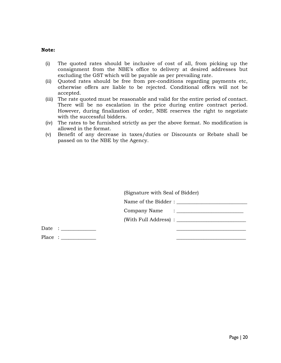#### Note:

- (i) The quoted rates should be inclusive of cost of all, from picking up the consignment from the NBE's office to delivery at desired addresses but excluding the GST which will be payable as per prevailing rate.
- (ii) Quoted rates should be free from pre-conditions regarding payments etc, otherwise offers are liable to be rejected. Conditional offers will not be accepted.
- (iii) The rate quoted must be reasonable and valid for the entire period of contact. There will be no escalation in the price during entire contract period. However, during finalization of order, NBE reserves the right to negotiate with the successful bidders.
- (iv) The rates to be furnished strictly as per the above format. No modification is allowed in the format.
- (v) Benefit of any decrease in taxes/duties or Discounts or Rebate shall be passed on to the NBE by the Agency.

|  | (Signature with Seal of Bidder) |  |
|--|---------------------------------|--|
|  |                                 |  |
|  |                                 |  |
|  |                                 |  |
|  |                                 |  |
|  |                                 |  |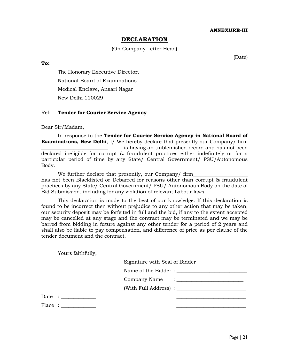#### DECLARATION

#### (On Company Letter Head)

(Date)

To:

The Honorary Executive Director, National Board of Examinations Medical Enclave, Ansari Nagar New Delhi 110029

#### Ref: Tender for Courier Service Agency

Dear Sir/Madam,

In response to the Tender for Courier Service Agency in National Board of **Examinations, New Delhi**, I/ We hereby declare that presently our Company/ firm is having an unblemished record and has not been declared ineligible for corrupt & fraudulent practices either indefinitely or for a particular period of time by any State/ Central Government/ PSU/Autonomous Body.

We further declare that presently, our Company/ firm has not been Blacklisted or Debarred for reasons other than corrupt & fraudulent practices by any State/ Central Government/ PSU/ Autonomous Body on the date of Bid Submission, including for any violation of relevant Labour laws.

This declaration is made to the best of our knowledge. If this declaration is found to be incorrect then without prejudice to any other action that may be taken, our security deposit may be forfeited in full and the bid, if any to the extent accepted may be cancelled at any stage and the contract may be terminated and we may be barred from bidding in future against any other tender for a period of 2 years and shall also be liable to pay compensation, and difference of price as per clause of the tender document and the contract.

Yours faithfully,

Signature with Seal of Bidder

Name of the Bidder :

Company Name : \_\_\_\_\_\_\_\_\_\_\_\_\_\_\_\_\_\_\_\_\_\_\_\_\_\_\_

(With Full Address) : \_\_\_\_\_\_\_\_\_\_\_\_\_\_\_\_\_\_\_\_\_\_\_\_\_\_\_\_

Date : \_\_\_\_\_\_\_\_\_\_\_\_\_\_ \_\_\_\_\_\_\_\_\_\_\_\_\_\_\_\_\_\_\_\_\_\_\_\_\_\_\_\_

Place :